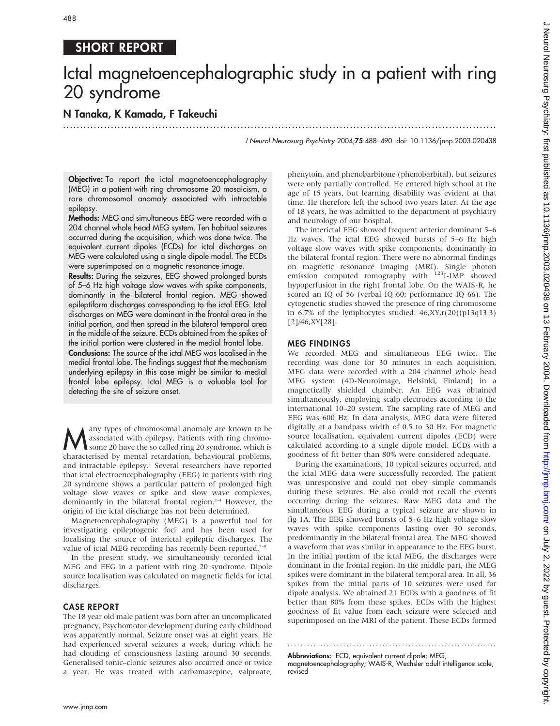## SHORT REPORT

# Ictal magnetoencephalographic study in a patient with ring 20 syndrome

.............................................................................................................................. .

### N Tanaka, K Kamada, F Takeuchi

J Neurol Neurosurg Psychiatry 2004;75:488–490. doi: 10.1136/jnnp.2003.020438

Objective: To report the ictal magnetoencephalography (MEG) in a patient with ring chromosome 20 mosaicism, a rare chromosomal anomaly associated with intractable epilepsy.

Methods: MEG and simultaneous EEG were recorded with a 204 channel whole head MEG system. Ten habitual seizures occurred during the acquisition, which was done twice. The equivalent current dipoles (ECDs) for ictal discharges on MEG were calculated using a single dipole model. The ECDs were superimposed on a magnetic resonance image.

Results: During the seizures, EEG showed prolonged bursts of 5–6 Hz high voltage slow waves with spike components, dominantly in the bilateral frontal region. MEG showed epileptiform discharges corresponding to the ictal EEG. Ictal discharges on MEG were dominant in the frontal area in the initial portion, and then spread in the bilateral temporal area in the middle of the seizure. ECDs obtained from the spikes of the initial portion were clustered in the medial frontal lobe. Conclusions: The source of the ictal MEG was localised in the medial frontal lobe. The findings suggest that the mechanism underlying epilepsy in this case might be similar to medial frontal lobe epilepsy. Ictal MEG is a valuable tool for detecting the site of seizure onset.

**Many types of chromosomal anomaly are known to be** associated with epilepsy. Patients with ring chromosome 20 have the so called ring 20 syndrome, which is characterised by mental retardation, behavioural problems associated with epilepsy. Patients with ring chromocharacterised by mental retardation, behavioural problems, and intractable epilepsy.<sup>1</sup> Several researchers have reported that ictal electroencephalography (EEG) in patients with ring 20 syndrome shows a particular pattern of prolonged high voltage slow waves or spike and slow wave complexes, dominantly in the bilateral frontal region.<sup>2-4</sup> However, the origin of the ictal discharge has not been determined.

Magnetoencephalography (MEG) is a powerful tool for investigating epileptogenic foci and has been used for localising the source of interictal epileptic discharges. The value of ictal MEG recording has recently been reported.<sup>5-8</sup>

In the present study, we simultaneously recorded ictal MEG and EEG in a patient with ring 20 syndrome. Dipole source localisation was calculated on magnetic fields for ictal discharges.

#### CASE REPORT

The 18 year old male patient was born after an uncomplicated pregnancy. Psychomotor development during early childhood was apparently normal. Seizure onset was at eight years. He had experienced several seizures a week, during which he had clouding of consciousness lasting around 30 seconds. Generalised tonic–clonic seizures also occurred once or twice a year. He was treated with carbamazepine, valproate, phenytoin, and phenobarbitone (phenobarbital), but seizures were only partially controlled. He entered high school at the age of 15 years, but learning disability was evident at that time. He therefore left the school two years later. At the age of 18 years, he was admitted to the department of psychiatry and neurology of our hospital.

The interictal EEG showed frequent anterior dominant 5–6 Hz waves. The ictal EEG showed bursts of 5–6 Hz high voltage slow waves with spike components, dominantly in the bilateral frontal region. There were no abnormal findings on magnetic resonance imaging (MRI). Single photon emission computed tomography with  $123I$ -IMP showed hypoperfusion in the right frontal lobe. On the WAIS-R, he scored an IQ of 56 (verbal IQ 60; performance IQ 66). The cytogenetic studies showed the presence of ring chromosome in 6.7% of the lymphocytes studied:  $46, XY, r(20)(p13q13.3)$ [2]/46,XY[28].

#### MEG FINDINGS

We recorded MEG and simultaneous EEG twice. The recording was done for 30 minutes in each acquisition. MEG data were recorded with a 204 channel whole head MEG system (4D-Neuroimage, Helsinki, Finland) in a magnetically shielded chamber. An EEG was obtained simultaneously, employing scalp electrodes according to the international 10–20 system. The sampling rate of MEG and EEG was 600 Hz. In data analysis, MEG data were filtered digitally at a bandpass width of 0.5 to 30 Hz. For magnetic source localisation, equivalent current dipoles (ECD) were calculated according to a single dipole model. ECDs with a goodness of fit better than 80% were considered adequate.

During the examinations, 10 typical seizures occurred, and the ictal MEG data were successfully recorded. The patient was unresponsive and could not obey simple commands during these seizures. He also could not recall the events occurring during the seizures. Raw MEG data and the simultaneous EEG during a typical seizure are shown in fig 1A. The EEG showed bursts of 5–6 Hz high voltage slow waves with spike components lasting over 30 seconds, predominantly in the bilateral frontal area. The MEG showed a waveform that was similar in appearance to the EEG burst. In the initial portion of the ictal MEG, the discharges were dominant in the frontal region. In the middle part, the MEG spikes were dominant in the bilateral temporal area. In all, 36 spikes from the initial parts of 10 seizures were used for dipole analysis. We obtained 21 ECDs with a goodness of fit better than 80% from these spikes. ECDs with the highest goodness of fit value from each seizure were selected and superimposed on the MRI of the patient. These ECDs formed

............................................................... . Abbreviations: ECD, equivalent current dipole; MEG, magnetoencephalography; WAIS-R, Wechsler adult intelligence scale, revised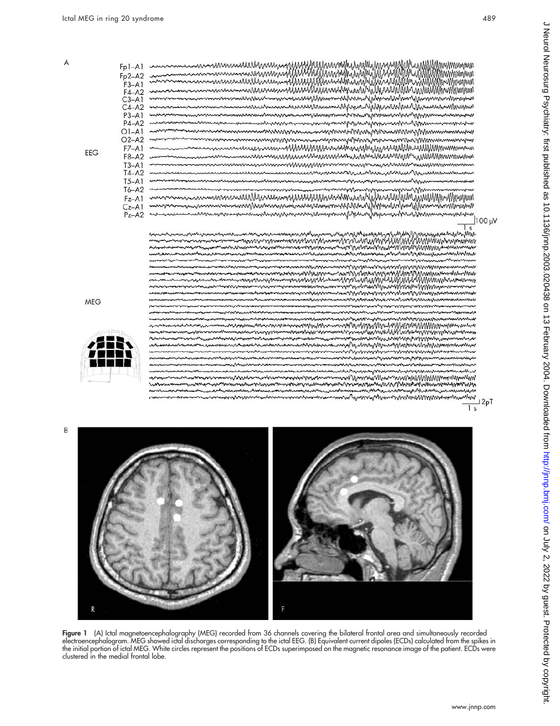www.

.<br>Matu

Www

Want www.gamman

> $12pT$  $\overline{1 s}$

in universitation

mmmmmmmmmmmmmmmmm man want de communistie and the communisties of the communisties of the communisties of the communisties of th<br>wanted the communisties of the communisties of the communisties of the communisties of the communisties of the

nnmmmmmmmmmmmhnmmnnnnnnnnnnn mmmmmmmmmmm

wwwwww

nnnmmnhmmmmmmmm

nawhnawannamanananana

mmmmmmmmmmmmmmm

~~~W\dneywwwWhashmanWhWWWWMMMMmmmWMm

MAN mannananananananananananananananananan

marrow

munnunnunnun

nahannannannannannahannan

| Fp1-A1    | www.manamanahaa.com/hanahaa.com/hanahaa.com/hanahaa.com/hanahaa.com/hanahaa.com/hanahaa.com/hanahaa.com/<br>www.manahaa.com/hanahaa.com/hanahaa.com/hanahaa.com/hanahaa.com/hanahaa.com/hanahaa.com/hana-hana-hana-han-ha-       |
|-----------|----------------------------------------------------------------------------------------------------------------------------------------------------------------------------------------------------------------------------------|
| $Fp2-A2$  |                                                                                                                                                                                                                                  |
| $F3-A1$   |                                                                                                                                                                                                                                  |
| $F4 - A2$ | www.accommunications/www.accommunications/www.accommunications/www.accommunications/www.accommunica                                                                                                                              |
| $C3-A1$   |                                                                                                                                                                                                                                  |
| $C4 - A2$ | http://www.com/www.com/www.com/www.com/www.com/www.com/www.com/www.com/www.com/www.com/www.com/www.c                                                                                                                             |
| $P3-A1$   |                                                                                                                                                                                                                                  |
| $P4 - A2$ | men and the second and the second and the second and the second and the second and the second of the second second second second second second second second second second second second second second second second second se   |
| $O[-A]$   |                                                                                                                                                                                                                                  |
| $O2 - A2$ |                                                                                                                                                                                                                                  |
| $FZ - A1$ |                                                                                                                                                                                                                                  |
| $F8 - A2$ | www.accommunically.com/www.accommunically.com/www.accommunically.com/www.accommunically.com/www.accommunically                                                                                                                   |
| $T3-A1$   |                                                                                                                                                                                                                                  |
| $TA - A2$ |                                                                                                                                                                                                                                  |
| T5-A1     |                                                                                                                                                                                                                                  |
| $T6 - A2$ |                                                                                                                                                                                                                                  |
| $Fz - A1$ |                                                                                                                                                                                                                                  |
| $Cz-A1$   |                                                                                                                                                                                                                                  |
| $Pz - A2$ | 100 pm                                                                                                                                                                                                                           |
|           |                                                                                                                                                                                                                                  |
|           |                                                                                                                                                                                                                                  |
|           | MANGAMANANG PANGHANG PANGHANG PANGHANG PANGHANG PANGHANG PANGHANG PANGHANG ANG ANG ANG PANGHANG PANGHANG PANGH<br>MANGAMANANG PANGHANG PANGHANG PANGHANG PANGHANG PANGHANG PANGHANG PANGHANG ANG PANGHANG PANGHANG PANGHANG PANG |
|           |                                                                                                                                                                                                                                  |
|           |                                                                                                                                                                                                                                  |

EEG

 $\overline{A}$ 

**MEG** 





MANACARALMAN

www

Figure 1 (A) Ictal magnetoencephalography (MEG) recorded from 36 channels covering the bilateral frontal area and simultaneously recorded electroencephalogram. MEG showed ictal discharges corresponding to the ictal EEG. (B) Equivalent current dipoles (ECDs) calculated from the spikes in the initial portion of ictal MEG. White circles represent the positions of ECDs superimposed on the magnetic resonance image of the patient. ECDs were clustered in the medial frontal lobe.